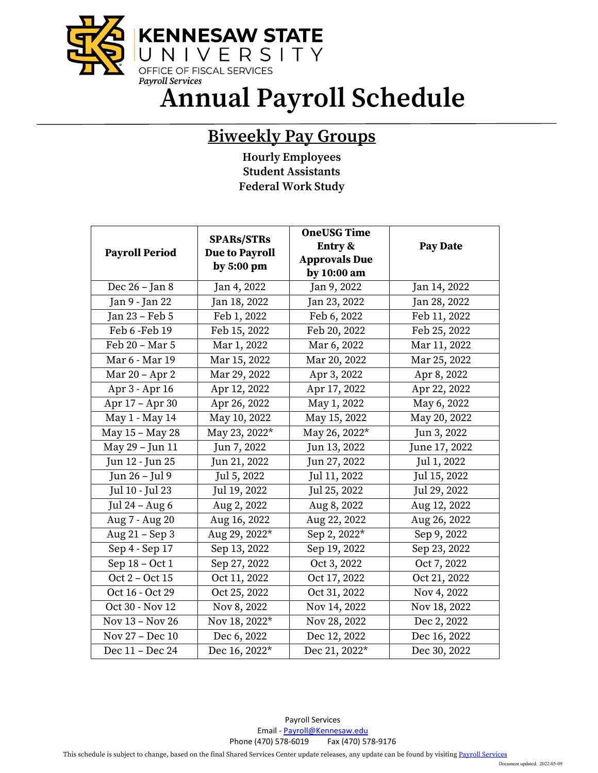

**Annual Payroll Schedule**

## **Biweekly Pay Groups**

**Hourly Employees Student Assistants Federal Work Study**

|                       | <b>SPARs/STRs</b>                     | <b>OneUSG Time</b>   |                 |
|-----------------------|---------------------------------------|----------------------|-----------------|
| <b>Payroll Period</b> | <b>Due to Payroll</b><br>by $5:00$ pm | Entry &              | <b>Pay Date</b> |
|                       |                                       | <b>Approvals Due</b> |                 |
|                       |                                       | by 10:00 am          |                 |
| Dec 26 - Jan 8        | Jan 4, 2022                           | Jan 9, 2022          | Jan 14, 2022    |
| Jan 9 - Jan 22        | Jan 18, 2022                          | Jan 23, 2022         | Jan 28, 2022    |
| Jan 23 - Feb 5        | Feb 1, 2022                           | Feb 6, 2022          | Feb 11, 2022    |
| Feb 6 - Feb 19        | Feb 15, 2022                          | Feb 20, 2022         | Feb 25, 2022    |
| Feb 20 - Mar 5        | Mar 1, 2022                           | Mar 6, 2022          | Mar 11, 2022    |
| Mar 6 - Mar 19        | Mar 15, 2022                          | Mar 20, 2022         | Mar 25, 2022    |
| Mar 20 - Apr 2        | Mar 29, 2022                          | Apr 3, 2022          | Apr 8, 2022     |
| Apr 3 - Apr 16        | Apr 12, 2022                          | Apr 17, 2022         | Apr 22, 2022    |
| Apr 17 - Apr 30       | Apr 26, 2022                          | May 1, 2022          | May 6, 2022     |
| May 1 - May 14        | May 10, 2022                          | May 15, 2022         | May 20, 2022    |
| May 15 - May 28       | May 23, 2022*                         | May 26, 2022*        | Jun 3, 2022     |
| May 29 - Jun 11       | Jun 7, 2022                           | Jun 13, 2022         | June 17, 2022   |
| Jun 12 - Jun 25       | Jun 21, 2022                          | Jun 27, 2022         | Jul 1, 2022     |
| Jun 26 - Jul 9        | Jul 5, 2022                           | Jul 11, 2022         | Jul 15, 2022    |
| Jul 10 - Jul 23       | Jul 19, 2022                          | Jul 25, 2022         | Jul 29, 2022    |
| Jul 24 – Aug $6$      | Aug 2, 2022                           | Aug 8, 2022          | Aug 12, 2022    |
| Aug 7 - Aug 20        | Aug 16, 2022                          | Aug 22, 2022         | Aug 26, 2022    |
| Aug 21 – Sep 3        | Aug 29, 2022*                         | Sep 2, 2022*         | Sep 9, 2022     |
| Sep 4 - Sep 17        | Sep 13, 2022                          | Sep 19, 2022         | Sep 23, 2022    |
| Sep 18 - Oct 1        | Sep 27, 2022                          | Oct 3, 2022          | Oct 7, 2022     |
| Oct 2 - Oct 15        | Oct 11, 2022                          | Oct 17, 2022         | Oct 21, 2022    |
| Oct 16 - Oct 29       | Oct 25, 2022                          | Oct 31, 2022         | Nov 4, 2022     |
| Oct 30 - Nov 12       | Nov 8, 2022                           | Nov 14, 2022         | Nov 18, 2022    |
| Nov 13 - Nov 26       | Nov 18, 2022*                         | Nov 28, 2022         | Dec 2, 2022     |
| Nov 27 - Dec 10       | Dec 6, 2022                           | Dec 12, 2022         | Dec 16, 2022    |
| Dec 11 - Dec 24       | Dec 16, 2022*                         | Dec 21, 2022*        | Dec 30, 2022    |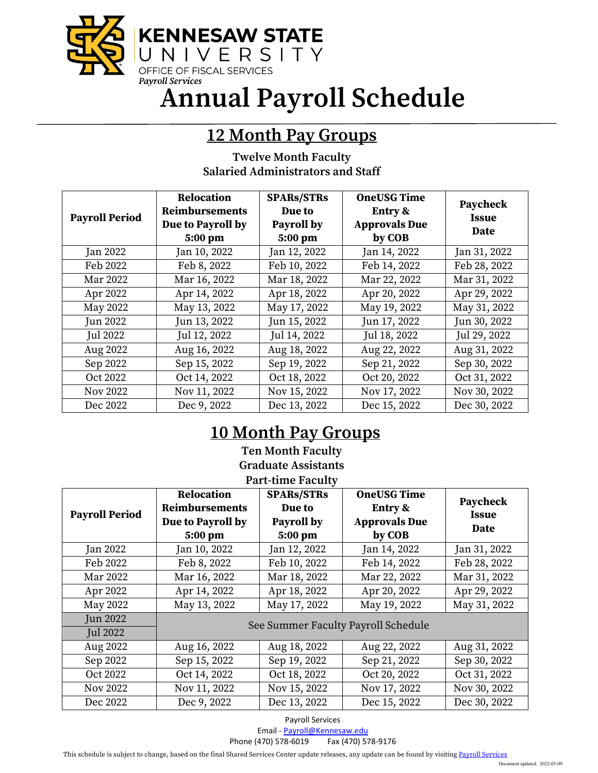

**Annual Payroll Schedule**

## **12 Month Pay Groups**

| <b>Twelve Month Faculty</b>              |  |
|------------------------------------------|--|
| <b>Salaried Administrators and Staff</b> |  |

| <b>Payroll Period</b> | Relocation<br><b>Reimbursements</b><br>Due to Payroll by<br>5:00 pm | <b>SPARs/STRs</b><br>Due to<br>Payroll by<br>5:00 pm | <b>OneUSG Time</b><br>Entry &<br><b>Approvals Due</b><br>by COB | Paycheck<br><b>Issue</b><br>Date |
|-----------------------|---------------------------------------------------------------------|------------------------------------------------------|-----------------------------------------------------------------|----------------------------------|
| <b>Jan 2022</b>       | Jan 10, 2022                                                        | Jan 12, 2022                                         | Jan 14, 2022                                                    | Jan 31, 2022                     |
| Feb 2022              | Feb 8, 2022                                                         | Feb 10, 2022                                         | Feb 14, 2022                                                    | Feb 28, 2022                     |
| Mar 2022              | Mar 16, 2022                                                        | Mar 18, 2022                                         | Mar 22, 2022                                                    | Mar 31, 2022                     |
| Apr 2022              | Apr 14, 2022                                                        | Apr 18, 2022                                         | Apr 20, 2022                                                    | Apr 29, 2022                     |
| May 2022              | May 13, 2022                                                        | May 17, 2022                                         | May 19, 2022                                                    | May 31, 2022                     |
| Jun 2022              | Jun 13, 2022                                                        | Jun 15, 2022                                         | Jun 17, 2022                                                    | Jun 30, 2022                     |
| <b>Jul 2022</b>       | Jul 12, 2022                                                        | Jul 14, 2022                                         | Jul 18, 2022                                                    | Jul 29, 2022                     |
| Aug 2022              | Aug 16, 2022                                                        | Aug 18, 2022                                         | Aug 22, 2022                                                    | Aug 31, 2022                     |
| Sep 2022              | Sep 15, 2022                                                        | Sep 19, 2022                                         | Sep 21, 2022                                                    | Sep 30, 2022                     |
| Oct 2022              | Oct 14, 2022                                                        | Oct 18, 2022                                         | Oct 20, 2022                                                    | Oct 31, 2022                     |
| <b>Nov 2022</b>       | Nov 11, 2022                                                        | Nov 15, 2022                                         | Nov 17, 2022                                                    | Nov 30, 2022                     |
| Dec 2022              | Dec 9, 2022                                                         | Dec 13, 2022                                         | Dec 15, 2022                                                    | Dec 30, 2022                     |

## **10 Month Pay Groups**

**Ten Month Faculty Graduate Assistants Part-time Faculty** 

| <b>Payroll Period</b> | <b>Relocation</b><br><b>Reimbursements</b><br>Due to Payroll by<br>5:00 pm | <b>SPARs/STRs</b><br>Due to<br>Payroll by<br>5:00 pm | <b>OneUSG Time</b><br>Entry &<br><b>Approvals Due</b><br>by COB | Paycheck<br><b>Issue</b><br>Date |
|-----------------------|----------------------------------------------------------------------------|------------------------------------------------------|-----------------------------------------------------------------|----------------------------------|
| <b>Jan 2022</b>       | Jan 10, 2022                                                               | Jan 12, 2022                                         | Jan 14, 2022                                                    | Jan 31, 2022                     |
| Feb 2022              | Feb 8, 2022                                                                | Feb 10, 2022                                         | Feb 14, 2022                                                    | Feb 28, 2022                     |
| Mar 2022              | Mar 16, 2022                                                               | Mar 18, 2022                                         | Mar 22, 2022                                                    | Mar 31, 2022                     |
| Apr 2022              | Apr 14, 2022                                                               | Apr 18, 2022                                         | Apr 20, 2022                                                    | Apr 29, 2022                     |
| May 2022              | May 13, 2022                                                               | May 17, 2022                                         | May 19, 2022                                                    | May 31, 2022                     |
| <b>Jun 2022</b>       | See Summer Faculty Payroll Schedule                                        |                                                      |                                                                 |                                  |
| <b>Jul 2022</b>       |                                                                            |                                                      |                                                                 |                                  |
| Aug 2022              | Aug 16, 2022                                                               | Aug 18, 2022                                         | Aug 22, 2022                                                    | Aug 31, 2022                     |
| Sep 2022              | Sep 15, 2022                                                               | Sep 19, 2022                                         | Sep 21, 2022                                                    | Sep 30, 2022                     |
| Oct 2022              | Oct 14, 2022                                                               | Oct 18, 2022                                         | Oct 20, 2022                                                    | Oct 31, 2022                     |
| Nov 2022              | Nov 11, 2022                                                               | Nov 15, 2022                                         | Nov 17, 2022                                                    | Nov 30, 2022                     |
| Dec 2022              | Dec 9, 2022                                                                | Dec 13, 2022                                         | Dec 15, 2022                                                    | Dec 30, 2022                     |

Payroll Services

Email [- Payroll@Kennesaw.edu](mailto:Payroll@Kennesaw.edu)

Phone (470) 578-6019 Fax (470) 578-9176

This schedule is subject to change, based on the final Shared Services Center update releases, any update can be found by visitin[g Payroll Services](http://payroll.kennesaw.edu/calendars.php)